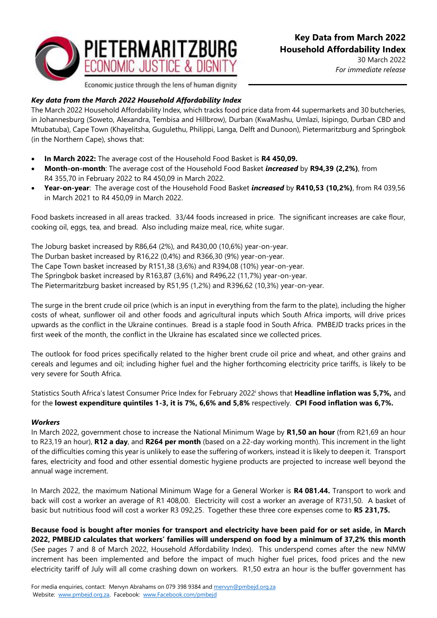

30 March 2022 *For immediate release*

Economic justice through the lens of human dignity

## *Key data from the March 2022 Household Affordability Index*

The March 2022 Household Affordability Index*,* which tracks food price data from 44 supermarkets and 30 butcheries, in Johannesburg (Soweto, Alexandra, Tembisa and Hillbrow), Durban (KwaMashu, Umlazi, Isipingo, Durban CBD and Mtubatuba), Cape Town (Khayelitsha, Gugulethu, Philippi, Langa, Delft and Dunoon), Pietermaritzburg and Springbok (in the Northern Cape), shows that:

- **In March 2022:** The average cost of the Household Food Basket is **R4 450,09.**
- **Month-on-month**: The average cost of the Household Food Basket *increased* by **R94,39 (2,2%)**, from R4 355,70 in February 2022 to R4 450,09 in March 2022.
- **Year-on-year**: The average cost of the Household Food Basket *increased* by **R410,53 (10,2%)**, from R4 039,56 in March 2021 to R4 450,09 in March 2022.

Food baskets increased in all areas tracked. 33/44 foods increased in price. The significant increases are cake flour, cooking oil, eggs, tea, and bread. Also including maize meal, rice, white sugar.

The Joburg basket increased by R86,64 (2%), and R430,00 (10,6%) year-on-year. The Durban basket increased by R16,22 (0,4%) and R366,30 (9%) year-on-year. The Cape Town basket increased by R151,38 (3,6%) and R394,08 (10%) year-on-year. The Springbok basket increased by R163,87 (3,6%) and R496,22 (11,7%) year-on-year. The Pietermaritzburg basket increased by R51,95 (1,2%) and R396,62 (10,3%) year-on-year.

The surge in the brent crude oil price (which is an input in everything from the farm to the plate), including the higher costs of wheat, sunflower oil and other foods and agricultural inputs which South Africa imports, will drive prices upwards as the conflict in the Ukraine continues. Bread is a staple food in South Africa. PMBEJD tracks prices in the first week of the month, the conflict in the Ukraine has escalated since we collected prices.

The outlook for food prices specifically related to the higher brent crude oil price and wheat, and other grains and cereals and legumes and oil; including higher fuel and the higher forthcoming electricity price tariffs, is likely to be very severe for South Africa.

Statistics South Africa's latest Consumer Price Index for February 2022<sup>i</sup> shows that **Headline inflation was 5,7%,** and for the **lowest expenditure quintiles 1-3, it is 7%, 6,6% and 5,8%** respectively. **CPI Food inflation was 6,7%.**

## *Workers*

In March 2022, government chose to increase the National Minimum Wage by **R1,50 an hour** (from R21,69 an hour to R23,19 an hour), **R12 a day**, and **R264 per month** (based on a 22-day working month). This increment in the light of the difficulties coming this year is unlikely to ease the suffering of workers, instead it is likely to deepen it. Transport fares, electricity and food and other essential domestic hygiene products are projected to increase well beyond the annual wage increment.

In March 2022, the maximum National Minimum Wage for a General Worker is **R4 081.44.** Transport to work and back will cost a worker an average of R1 408,00. Electricity will cost a worker an average of R731,50. A basket of basic but nutritious food will cost a worker R3 092,25. Together these three core expenses come to **R5 231,75.**

**Because food is bought after monies for transport and electricity have been paid for or set aside, in March 2022, PMBEJD calculates that workers' families will underspend on food by a minimum of 37,2% this month**  (See pages 7 and 8 of March 2022, Household Affordability Index). This underspend comes after the new NMW increment has been implemented and before the impact of much higher fuel prices, food prices and the new electricity tariff of July will all come crashing down on workers. R1,50 extra an hour is the buffer government has